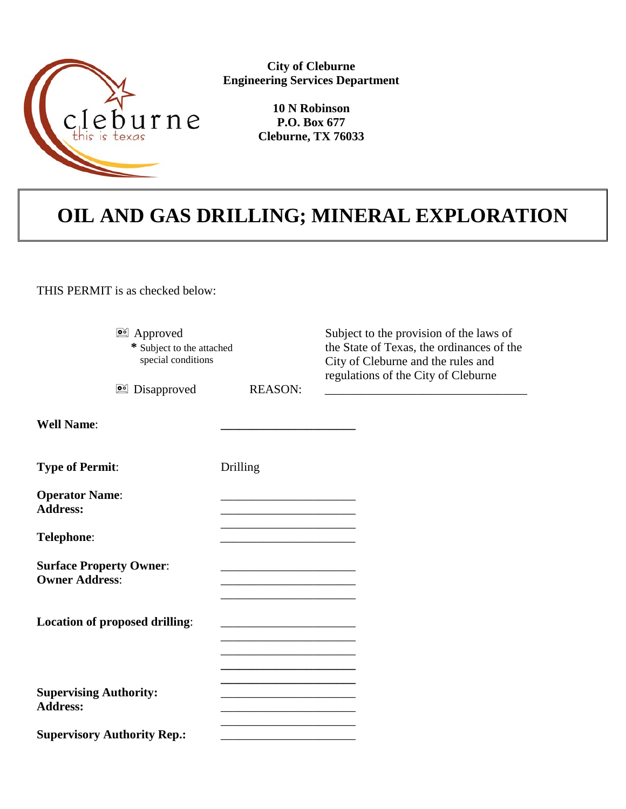

**City of Cleburne Engineering Services Department**

> **10 N Robinson P.O. Box 677 Cleburne, TX 76033**

## **OIL AND GAS DRILLING; MINERAL EXPLORATION**

THIS PERMIT is as checked below:

|                                                         | <b>DE Approved</b><br>* Subject to the attached<br>special conditions |                                                                            | Subject to the provision of the laws of<br>the State of Texas, the ordinances of the<br>City of Cleburne and the rules and |
|---------------------------------------------------------|-----------------------------------------------------------------------|----------------------------------------------------------------------------|----------------------------------------------------------------------------------------------------------------------------|
|                                                         | <b>Disapproved</b>                                                    | <b>REASON:</b>                                                             | regulations of the City of Cleburne                                                                                        |
| <b>Well Name:</b>                                       |                                                                       |                                                                            |                                                                                                                            |
| <b>Type of Permit:</b>                                  |                                                                       | Drilling                                                                   |                                                                                                                            |
| <b>Operator Name:</b><br><b>Address:</b>                |                                                                       |                                                                            |                                                                                                                            |
| Telephone:                                              |                                                                       |                                                                            |                                                                                                                            |
| <b>Surface Property Owner:</b><br><b>Owner Address:</b> |                                                                       |                                                                            |                                                                                                                            |
|                                                         | Location of proposed drilling:                                        | the control of the control of the control of the control of the control of |                                                                                                                            |
|                                                         |                                                                       |                                                                            |                                                                                                                            |
| <b>Supervising Authority:</b><br><b>Address:</b>        |                                                                       |                                                                            |                                                                                                                            |
|                                                         | <b>Supervisory Authority Rep.:</b>                                    |                                                                            |                                                                                                                            |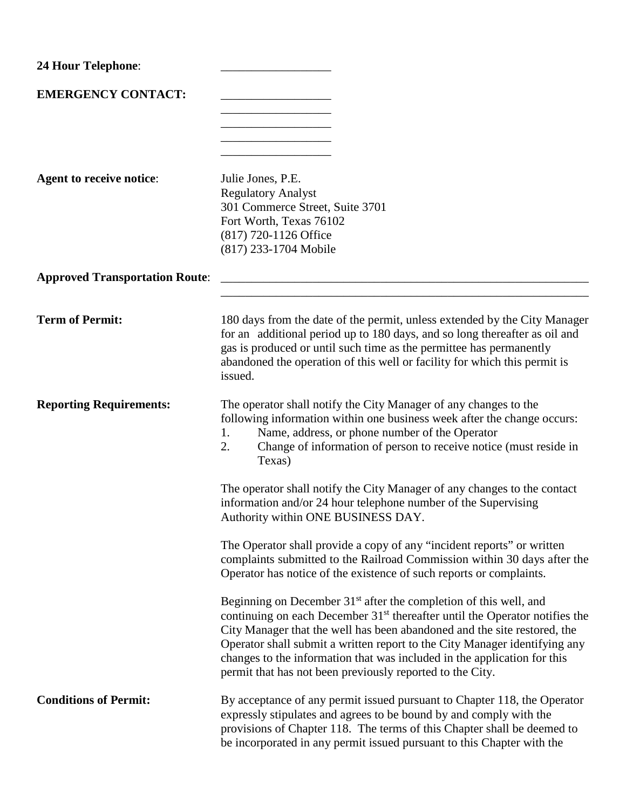| 24 Hour Telephone:                    |                                                                                                                                                                                                                                                                                                                                                                                                                                                         |
|---------------------------------------|---------------------------------------------------------------------------------------------------------------------------------------------------------------------------------------------------------------------------------------------------------------------------------------------------------------------------------------------------------------------------------------------------------------------------------------------------------|
| <b>EMERGENCY CONTACT:</b>             |                                                                                                                                                                                                                                                                                                                                                                                                                                                         |
|                                       |                                                                                                                                                                                                                                                                                                                                                                                                                                                         |
|                                       |                                                                                                                                                                                                                                                                                                                                                                                                                                                         |
|                                       |                                                                                                                                                                                                                                                                                                                                                                                                                                                         |
| Agent to receive notice:              | Julie Jones, P.E.<br><b>Regulatory Analyst</b><br>301 Commerce Street, Suite 3701<br>Fort Worth, Texas 76102                                                                                                                                                                                                                                                                                                                                            |
|                                       | (817) 720-1126 Office                                                                                                                                                                                                                                                                                                                                                                                                                                   |
|                                       | (817) 233-1704 Mobile                                                                                                                                                                                                                                                                                                                                                                                                                                   |
| <b>Approved Transportation Route:</b> |                                                                                                                                                                                                                                                                                                                                                                                                                                                         |
| <b>Term of Permit:</b>                | 180 days from the date of the permit, unless extended by the City Manager<br>for an additional period up to 180 days, and so long thereafter as oil and<br>gas is produced or until such time as the permittee has permanently<br>abandoned the operation of this well or facility for which this permit is<br>issued.                                                                                                                                  |
| <b>Reporting Requirements:</b>        | The operator shall notify the City Manager of any changes to the<br>following information within one business week after the change occurs:<br>Name, address, or phone number of the Operator<br>1.<br>Change of information of person to receive notice (must reside in<br>2.<br>Texas)                                                                                                                                                                |
|                                       | The operator shall notify the City Manager of any changes to the contact<br>information and/or 24 hour telephone number of the Supervising<br>Authority within ONE BUSINESS DAY.                                                                                                                                                                                                                                                                        |
|                                       | The Operator shall provide a copy of any "incident reports" or written<br>complaints submitted to the Railroad Commission within 30 days after the<br>Operator has notice of the existence of such reports or complaints.                                                                                                                                                                                                                               |
|                                       | Beginning on December $31st$ after the completion of this well, and<br>continuing on each December $31st$ thereafter until the Operator notifies the<br>City Manager that the well has been abandoned and the site restored, the<br>Operator shall submit a written report to the City Manager identifying any<br>changes to the information that was included in the application for this<br>permit that has not been previously reported to the City. |
| <b>Conditions of Permit:</b>          | By acceptance of any permit issued pursuant to Chapter 118, the Operator<br>expressly stipulates and agrees to be bound by and comply with the<br>provisions of Chapter 118. The terms of this Chapter shall be deemed to<br>be incorporated in any permit issued pursuant to this Chapter with the                                                                                                                                                     |